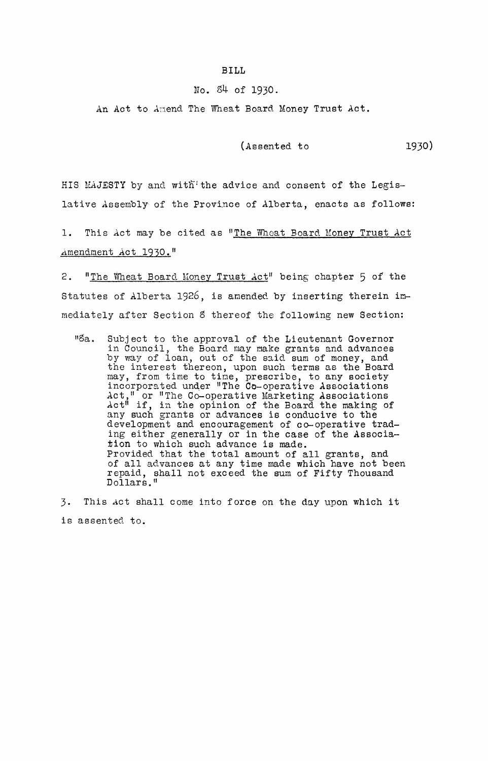## **BILL**

## No. 84- of 1930.

An Act to Amend The Wheat Board Money Trust Act.

(Assented to 1930)

HIS MAJESTY by and with<sup>1</sup> the advice and consent of the Legislative Assembly of the Province of Alberta, enacts as follows:

1. This Act may be cited as "The Wheat Board Money Trust Act ,,~mendment Act **1930."** 

2. "The Wheat Board Money Trust Act" being chapter 5 of the Statutes of Alberta 1926, is amended by inserting therein immediately after Section 8 thereof the following new Section:

liSa. Subject to the approval of the Lieutenant Governor in Council, the Board may make grants and advances by way of loan, out of the said sum of money, and the interest thereon, upon such terms as the Board may, from time to time, prescribe, to any society incorporated under "The Co-operative Associations Act," or "The Co-operative Marketing Associations Act" if, in the opinion of the Board the making of any such grants or advances is conducive to the development and encouragement of co-operative trading either generally or in the case of the Association to which such advance is made. Provided that the total amount of all grants, and of all advances at any time made which have not been repaid, shall not exceed the sum of Fifty Thousand Dollars."

3. This Act shall come into force on the day upon which it is assented to.